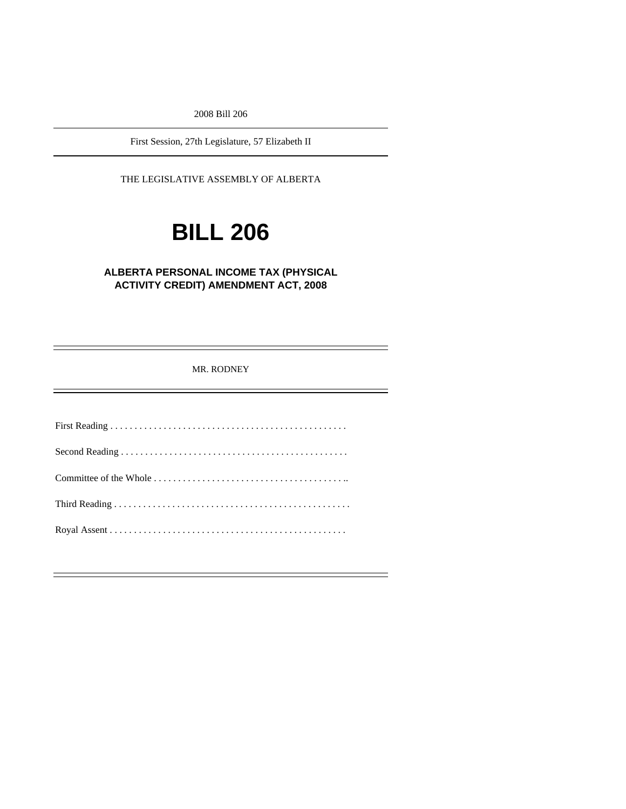2008 Bill 206

First Session, 27th Legislature, 57 Elizabeth II

THE LEGISLATIVE ASSEMBLY OF ALBERTA

# **BILL 206**

#### **ALBERTA PERSONAL INCOME TAX (PHYSICAL ACTIVITY CREDIT) AMENDMENT ACT, 2008**

MR. RODNEY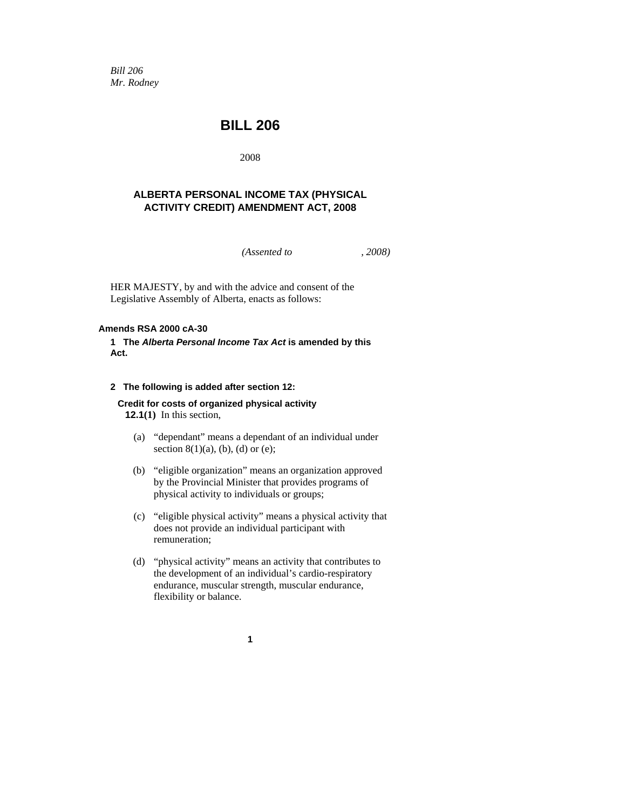*Bill 206 Mr. Rodney* 

## **BILL 206**

2008

#### **ALBERTA PERSONAL INCOME TAX (PHYSICAL ACTIVITY CREDIT) AMENDMENT ACT, 2008**

*(Assented to , 2008)* 

HER MAJESTY, by and with the advice and consent of the Legislative Assembly of Alberta, enacts as follows:

#### **Amends RSA 2000 cA-30**

#### **1 The** *Alberta Personal Income Tax Act* **is amended by this Act.**

#### **2 The following is added after section 12:**

### **Credit for costs of organized physical activity**

**12.1(1)** In this section,

- (a) "dependant" means a dependant of an individual under section  $8(1)(a)$ , (b), (d) or (e);
- (b) "eligible organization" means an organization approved by the Provincial Minister that provides programs of physical activity to individuals or groups;
- (c) "eligible physical activity" means a physical activity that does not provide an individual participant with remuneration;
- (d) "physical activity" means an activity that contributes to the development of an individual's cardio-respiratory endurance, muscular strength, muscular endurance, flexibility or balance.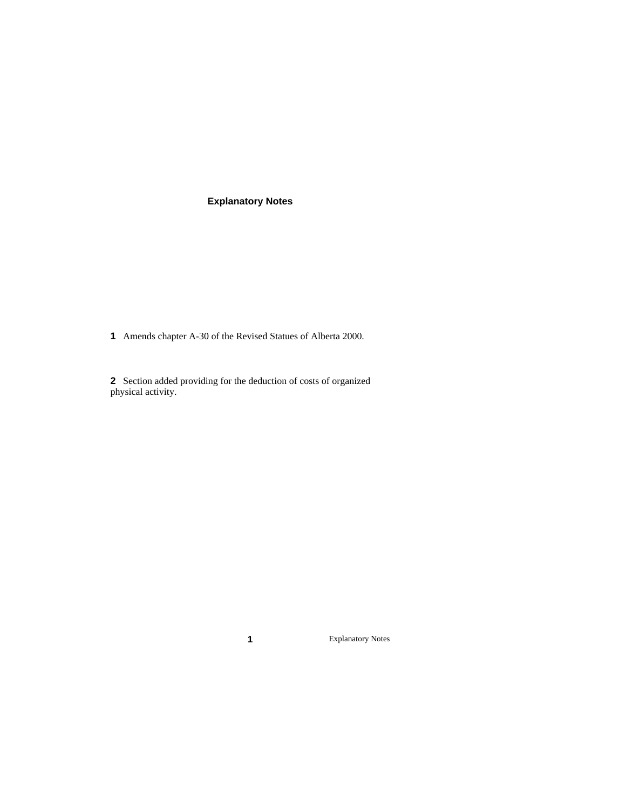#### **Explanatory Notes**

**1** Amends chapter A-30 of the Revised Statues of Alberta 2000.

**2** Section added providing for the deduction of costs of organized physical activity.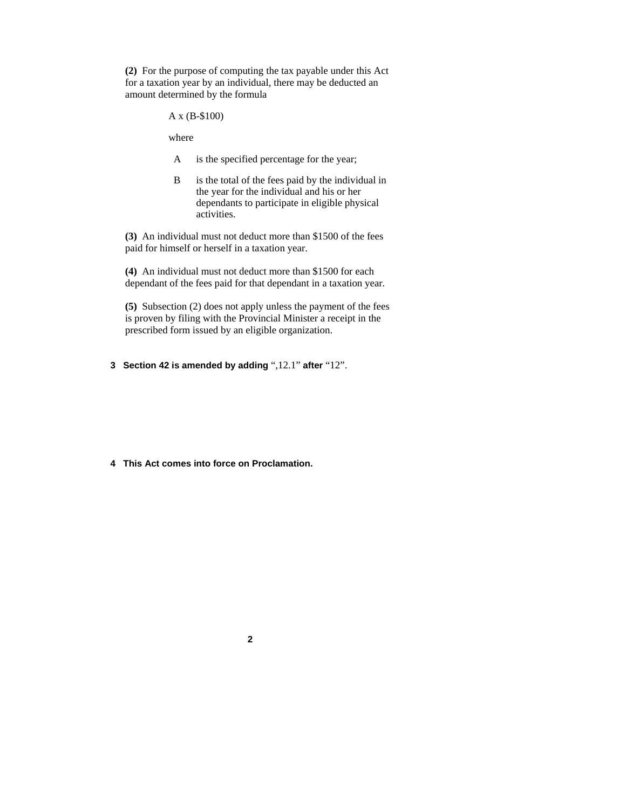**(2)** For the purpose of computing the tax payable under this Act for a taxation year by an individual, there may be deducted an amount determined by the formula

A x (B-\$100)

where

- A is the specified percentage for the year;
- B is the total of the fees paid by the individual in the year for the individual and his or her dependants to participate in eligible physical activities.

**(3)** An individual must not deduct more than \$1500 of the fees paid for himself or herself in a taxation year.

**(4)** An individual must not deduct more than \$1500 for each dependant of the fees paid for that dependant in a taxation year.

**(5)** Subsection (2) does not apply unless the payment of the fees is proven by filing with the Provincial Minister a receipt in the prescribed form issued by an eligible organization.

**3 Section 42 is amended by adding** ",12.1" **after** "12".

**4 This Act comes into force on Proclamation.**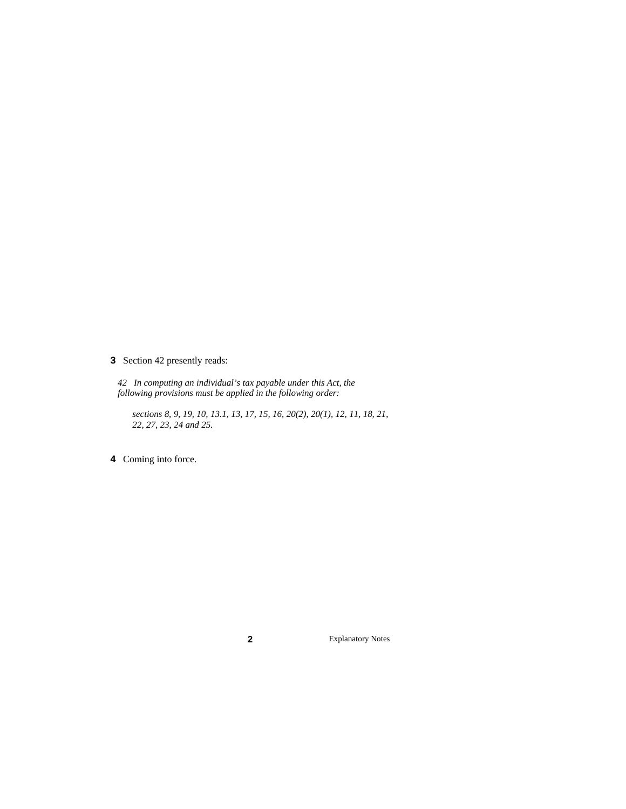**3** Section 42 presently reads:

*42 In computing an individual's tax payable under this Act, the following provisions must be applied in the following order:* 

*sections 8, 9, 19, 10, 13.1, 13, 17, 15, 16, 20(2), 20(1), 12, 11, 18, 21, 22, 27, 23, 24 and 25.* 

**4** Coming into force.